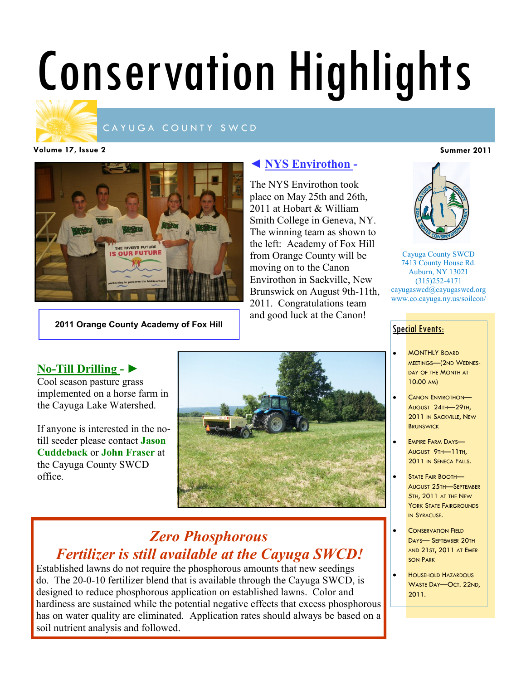# Conservation Highlights



### CAYUGA COUNTY SWCD

**Volume 17, Issue 2 Summer 2011**



**2011 Orange County Academy of Fox Hill**

# **◄ NYS Envirothon -**

The NYS Envirothon took place on May 25th and 26th, 2011 at Hobart & William Smith College in Geneva, NY. The winning team as shown to the left: Academy of Fox Hill from Orange County will be moving on to the Canon Envirothon in Sackville, New Brunswick on August 9th-11th, 2011. Congratulations team and good luck at the Canon!



Cayuga County SWCD 7413 County House Rd. Auburn, NY 13021 (315)252-4171 cayugaswcd@cayugaswcd.org www.co.cayuga.ny.us/soilcon/

## **Special Events:**

- MONTHLY BOARD MEETINGS—(2ND WEDNES-DAY OF THE MONTH AT 10:00 AM)
- CANON ENVIROTHON— AUGUST 24TH—29TH, 2011 IN SACKVILLE, NEW **BRUNSWICK**
- EMPIRE FARM DAYS— AUGUST 9TH—11TH, 2011 IN SENECA FALLS.
- STATE FAIR BOOTH— AUGUST 25TH—SEPTEMBER 5TH, 2011 AT THE NEW YORK STATE FAIRGROUNDS IN SYRACUSE.
- CONSERVATION FIELD DAYS— SEPTEMBER 20TH AND 21ST, 2011 AT EMER-SON PARK
- HOUSEHOLD HAZARDOUS WASTE DAY—OCT. 22ND, 2011.

# **No-Till Drilling - ►**

Cool season pasture grass implemented on a horse farm in the Cayuga Lake Watershed.

If anyone is interested in the notill seeder please contact **Jason Cuddeback** or **John Fraser** at the Cayuga County SWCD office.



# *Zero Phosphorous Fertilizer is still available at the Cayuga SWCD!*

Established lawns do not require the phosphorous amounts that new seedings do. The 20-0-10 fertilizer blend that is available through the Cayuga SWCD, is designed to reduce phosphorous application on established lawns. Color and hardiness are sustained while the potential negative effects that excess phosphorous has on water quality are eliminated. Application rates should always be based on a soil nutrient analysis and followed.